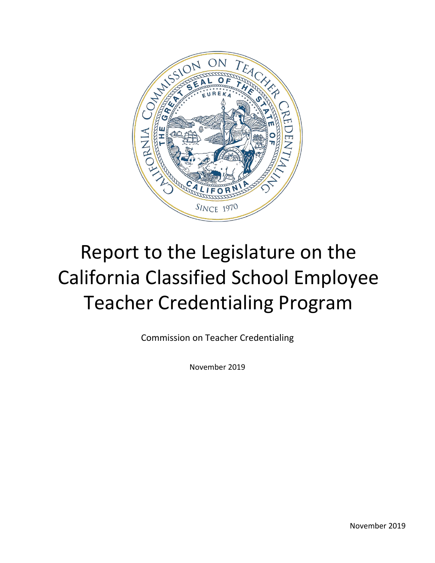

# Report to the Legislature on the California Classified School Employee Teacher Credentialing Program

Commission on Teacher Credentialing

November 2019

November 2019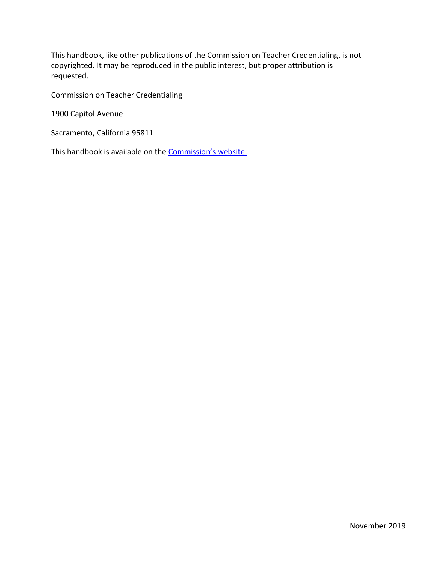This handbook, like other publications of the Commission on Teacher Credentialing, is not copyrighted. It may be reproduced in the public interest, but proper attribution is requested.

Commission on Teacher Credentialing

1900 Capitol Avenue

Sacramento, California 95811

This handbook is available on the **[Commission's](http://www.ctc.ca.gov/) website.**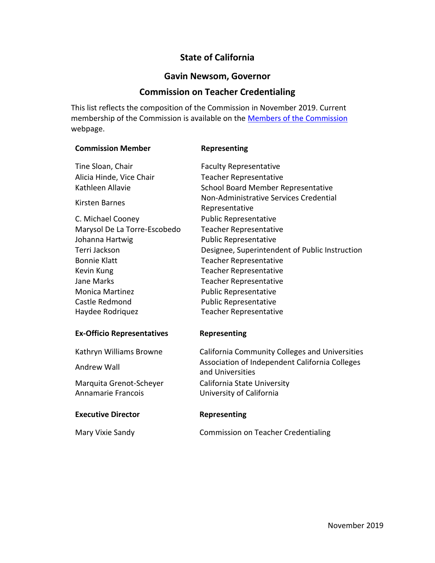# **State of California**

# **Gavin Newsom, Governor**

# **Commission on Teacher Credentialing**

This list reflects the composition of the Commission in November 2019. Current membership of the Commission is available on the [Members of the Commission](https://www.ctc.ca.gov/commission/commissioners) webpage.

| <b>Commission Member</b>          | Representing                                                       |
|-----------------------------------|--------------------------------------------------------------------|
| Tine Sloan, Chair                 | <b>Faculty Representative</b>                                      |
| Alicia Hinde, Vice Chair          | <b>Teacher Representative</b>                                      |
| Kathleen Allavie                  | School Board Member Representative                                 |
| Kirsten Barnes                    | Non-Administrative Services Credential<br>Representative           |
| C. Michael Cooney                 | <b>Public Representative</b>                                       |
| Marysol De La Torre-Escobedo      | <b>Teacher Representative</b>                                      |
| Johanna Hartwig                   | <b>Public Representative</b>                                       |
| Terri Jackson                     | Designee, Superintendent of Public Instruction                     |
| <b>Bonnie Klatt</b>               | <b>Teacher Representative</b>                                      |
| Kevin Kung                        | <b>Teacher Representative</b>                                      |
| <b>Jane Marks</b>                 | <b>Teacher Representative</b>                                      |
| <b>Monica Martinez</b>            | <b>Public Representative</b>                                       |
| Castle Redmond                    | <b>Public Representative</b>                                       |
| Haydee Rodriquez                  | <b>Teacher Representative</b>                                      |
| <b>Ex-Officio Representatives</b> | Representing                                                       |
| Kathryn Williams Browne           | <b>California Community Colleges and Universities</b>              |
| Andrew Wall                       | Association of Independent California Colleges<br>and Universities |
| Marquita Grenot-Scheyer           | California State University                                        |
| Annamarie Francois                | University of California                                           |
| <b>Executive Director</b>         | Representing                                                       |
| Mary Vixie Sandy                  | <b>Commission on Teacher Credentialing</b>                         |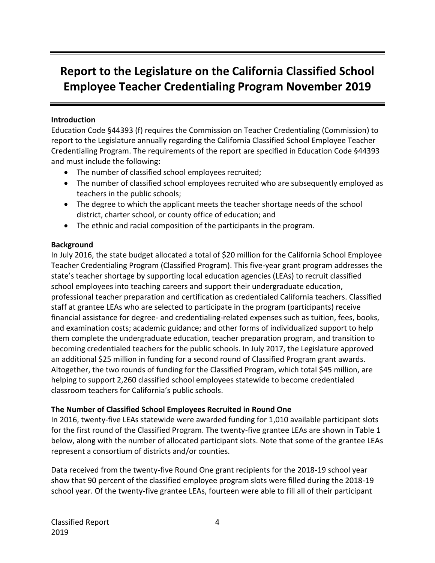# **Report to the Legislature on the California Classified School Employee Teacher Credentialing Program November 2019**

#### **Introduction**

Education Code §44393 (f) requires the Commission on Teacher Credentialing (Commission) to report to the Legislature annually regarding the California Classified School Employee Teacher Credentialing Program. The requirements of the report are specified in Education Code §44393 and must include the following:

- The number of classified school employees recruited;
- The number of classified school employees recruited who are subsequently employed as teachers in the public schools;
- The degree to which the applicant meets the teacher shortage needs of the school district, charter school, or county office of education; and
- The ethnic and racial composition of the participants in the program.

# **Background**

In July 2016, the state budget allocated a total of \$20 million for the California School Employee Teacher Credentialing Program (Classified Program). This five-year grant program addresses the state's teacher shortage by supporting local education agencies (LEAs) to recruit classified school employees into teaching careers and support their undergraduate education, professional teacher preparation and certification as credentialed California teachers. Classified staff at grantee LEAs who are selected to participate in the program (participants) receive financial assistance for degree- and credentialing-related expenses such as tuition, fees, books, and examination costs; academic guidance; and other forms of individualized support to help them complete the undergraduate education, teacher preparation program, and transition to becoming credentialed teachers for the public schools. In July 2017, the Legislature approved an additional \$25 million in funding for a second round of Classified Program grant awards. Altogether, the two rounds of funding for the Classified Program, which total \$45 million, are helping to support 2,260 classified school employees statewide to become credentialed classroom teachers for California's public schools.

# **The Number of Classified School Employees Recruited in Round One**

In 2016, twenty-five LEAs statewide were awarded funding for 1,010 available participant slots for the first round of the Classified Program. The twenty-five grantee LEAs are shown in Table 1 below, along with the number of allocated participant slots. Note that some of the grantee LEAs represent a consortium of districts and/or counties.

Data received from the twenty-five Round One grant recipients for the 2018-19 school year show that 90 percent of the classified employee program slots were filled during the 2018-19 school year. Of the twenty-five grantee LEAs, fourteen were able to fill all of their participant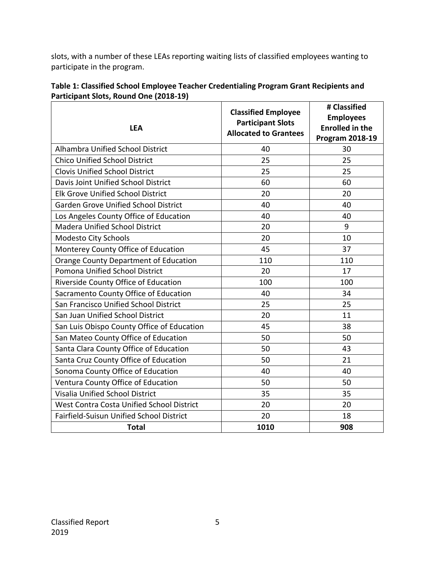slots, with a number of these LEAs reporting waiting lists of classified employees wanting to participate in the program.

| Table 1: Classified School Employee Teacher Credentialing Program Grant Recipients and |
|----------------------------------------------------------------------------------------|
| Participant Slots, Round One (2018-19)                                                 |

| <b>LEA</b>                                   | <b>Classified Employee</b><br><b>Participant Slots</b><br><b>Allocated to Grantees</b> | # Classified<br><b>Employees</b><br><b>Enrolled in the</b><br><b>Program 2018-19</b> |  |
|----------------------------------------------|----------------------------------------------------------------------------------------|--------------------------------------------------------------------------------------|--|
| Alhambra Unified School District             | 40                                                                                     | 30                                                                                   |  |
| <b>Chico Unified School District</b>         | 25                                                                                     | 25                                                                                   |  |
| <b>Clovis Unified School District</b>        | 25                                                                                     | 25                                                                                   |  |
| Davis Joint Unified School District          | 60                                                                                     | 60                                                                                   |  |
| <b>Elk Grove Unified School District</b>     | 20                                                                                     | 20                                                                                   |  |
| Garden Grove Unified School District         | 40                                                                                     | 40                                                                                   |  |
| Los Angeles County Office of Education       | 40                                                                                     | 40                                                                                   |  |
| <b>Madera Unified School District</b>        | 20                                                                                     | 9                                                                                    |  |
| Modesto City Schools                         | 20                                                                                     | 10                                                                                   |  |
| Monterey County Office of Education          | 45                                                                                     | 37                                                                                   |  |
| <b>Orange County Department of Education</b> | 110                                                                                    | 110                                                                                  |  |
| Pomona Unified School District               | 20                                                                                     | 17                                                                                   |  |
| Riverside County Office of Education         | 100                                                                                    | 100                                                                                  |  |
| Sacramento County Office of Education        | 40                                                                                     | 34                                                                                   |  |
| San Francisco Unified School District        | 25                                                                                     | 25                                                                                   |  |
| San Juan Unified School District             | 20                                                                                     | 11                                                                                   |  |
| San Luis Obispo County Office of Education   | 45                                                                                     | 38                                                                                   |  |
| San Mateo County Office of Education         | 50                                                                                     | 50                                                                                   |  |
| Santa Clara County Office of Education       | 50                                                                                     | 43                                                                                   |  |
| Santa Cruz County Office of Education        | 50                                                                                     | 21                                                                                   |  |
| Sonoma County Office of Education            | 40                                                                                     | 40                                                                                   |  |
| Ventura County Office of Education           | 50                                                                                     | 50                                                                                   |  |
| Visalia Unified School District              | 35                                                                                     | 35                                                                                   |  |
| West Contra Costa Unified School District    | 20                                                                                     | 20                                                                                   |  |
| Fairfield-Suisun Unified School District     | 20                                                                                     | 18                                                                                   |  |
| <b>Total</b>                                 | 1010                                                                                   | 908                                                                                  |  |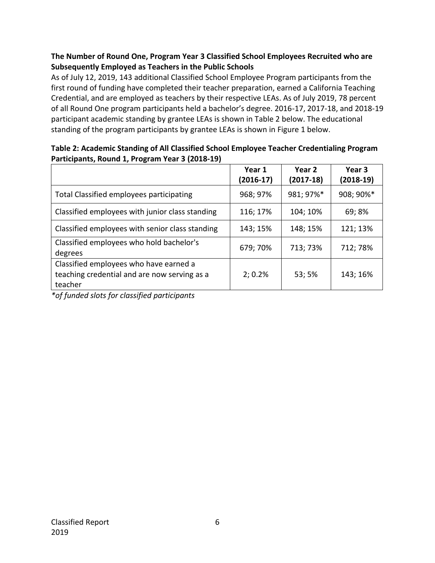# **The Number of Round One, Program Year 3 Classified School Employees Recruited who are Subsequently Employed as Teachers in the Public Schools**

As of July 12, 2019, 143 additional Classified School Employee Program participants from the first round of funding have completed their teacher preparation, earned a California Teaching Credential, and are employed as teachers by their respective LEAs. As of July 2019, 78 percent of all Round One program participants held a bachelor's degree. 2016-17, 2017-18, and 2018-19 participant academic standing by grantee LEAs is shown in Table 2 below. The educational standing of the program participants by grantee LEAs is shown in Figure 1 below.

| ا (2012-2015), השם וווס או היו שווטח האט היו של ה                                                 | Year 1<br>(2016-17) | Year 2<br>$(2017-18)$ | Year 3<br>$(2018-19)$ |
|---------------------------------------------------------------------------------------------------|---------------------|-----------------------|-----------------------|
| <b>Total Classified employees participating</b>                                                   | 968; 97%            | 981; 97%*             | 908; 90%*             |
| Classified employees with junior class standing                                                   | 116; 17%            | 104; 10%              | 69; 8%                |
| Classified employees with senior class standing                                                   | 143; 15%            | 148; 15%              | 121; 13%              |
| Classified employees who hold bachelor's<br>degrees                                               | 679; 70%            | 713; 73%              | 712; 78%              |
| Classified employees who have earned a<br>teaching credential and are now serving as a<br>teacher | 2; 0.2%             | 53; 5%                | 143; 16%              |

#### **Table 2: Academic Standing of All Classified School Employee Teacher Credentialing Program Participants, Round 1, Program Year 3 (2018-19)**

*\*of funded slots for classified participants*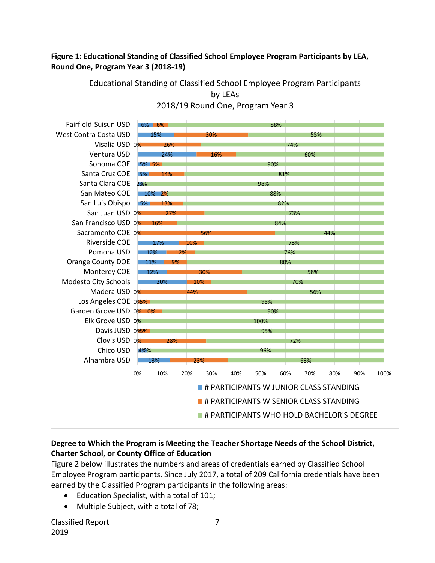

# **Figure 1: Educational Standing of Classified School Employee Program Participants by LEA, Round One, Program Year 3 (2018-19)**

# **Degree to Which the Program is Meeting the Teacher Shortage Needs of the School District, Charter School, or County Office of Education**

Figure 2 below illustrates the numbers and areas of credentials earned by Classified School Employee Program participants. Since July 2017, a total of 209 California credentials have been earned by the Classified Program participants in the following areas:

- Education Specialist, with a total of 101;
- Multiple Subject, with a total of 78;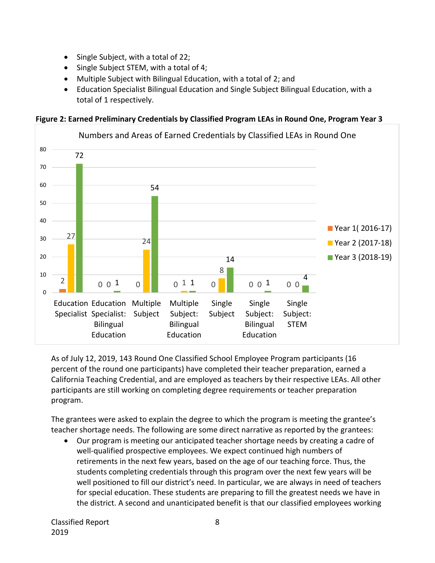- Single Subject, with a total of 22;
- Single Subject STEM, with a total of 4;
- Multiple Subject with Bilingual Education, with a total of 2; and
- Education Specialist Bilingual Education and Single Subject Bilingual Education, with a total of 1 respectively.



**Figure 2: Earned Preliminary Credentials by Classified Program LEAs in Round One, Program Year 3**

As of July 12, 2019, 143 Round One Classified School Employee Program participants (16 percent of the round one participants) have completed their teacher preparation, earned a California Teaching Credential, and are employed as teachers by their respective LEAs. All other participants are still working on completing degree requirements or teacher preparation program.

The grantees were asked to explain the degree to which the program is meeting the grantee's teacher shortage needs. The following are some direct narrative as reported by the grantees:

• Our program is meeting our anticipated teacher shortage needs by creating a cadre of well-qualified prospective employees. We expect continued high numbers of retirements in the next few years, based on the age of our teaching force. Thus, the students completing credentials through this program over the next few years will be well positioned to fill our district's need. In particular, we are always in need of teachers for special education. These students are preparing to fill the greatest needs we have in the district. A second and unanticipated benefit is that our classified employees working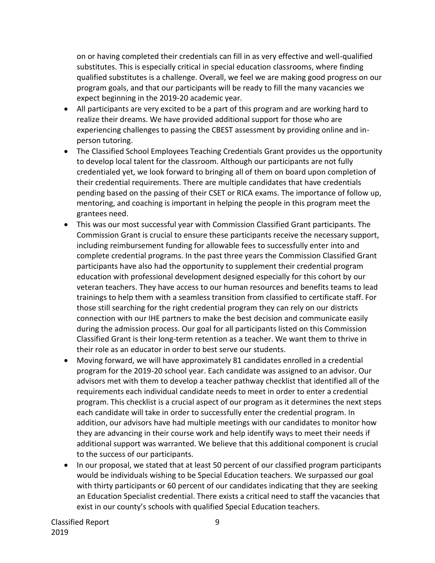on or having completed their credentials can fill in as very effective and well-qualified substitutes. This is especially critical in special education classrooms, where finding qualified substitutes is a challenge. Overall, we feel we are making good progress on our program goals, and that our participants will be ready to fill the many vacancies we expect beginning in the 2019-20 academic year.

- All participants are very excited to be a part of this program and are working hard to realize their dreams. We have provided additional support for those who are experiencing challenges to passing the CBEST assessment by providing online and inperson tutoring.
- The Classified School Employees Teaching Credentials Grant provides us the opportunity to develop local talent for the classroom. Although our participants are not fully credentialed yet, we look forward to bringing all of them on board upon completion of their credential requirements. There are multiple candidates that have credentials pending based on the passing of their CSET or RICA exams. The importance of follow up, mentoring, and coaching is important in helping the people in this program meet the grantees need.
- This was our most successful year with Commission Classified Grant participants. The Commission Grant is crucial to ensure these participants receive the necessary support, including reimbursement funding for allowable fees to successfully enter into and complete credential programs. In the past three years the Commission Classified Grant participants have also had the opportunity to supplement their credential program education with professional development designed especially for this cohort by our veteran teachers. They have access to our human resources and benefits teams to lead trainings to help them with a seamless transition from classified to certificate staff. For those still searching for the right credential program they can rely on our districts connection with our IHE partners to make the best decision and communicate easily during the admission process. Our goal for all participants listed on this Commission Classified Grant is their long-term retention as a teacher. We want them to thrive in their role as an educator in order to best serve our students.
- Moving forward, we will have approximately 81 candidates enrolled in a credential program for the 2019-20 school year. Each candidate was assigned to an advisor. Our advisors met with them to develop a teacher pathway checklist that identified all of the requirements each individual candidate needs to meet in order to enter a credential program. This checklist is a crucial aspect of our program as it determines the next steps each candidate will take in order to successfully enter the credential program. In addition, our advisors have had multiple meetings with our candidates to monitor how they are advancing in their course work and help identify ways to meet their needs if additional support was warranted. We believe that this additional component is crucial to the success of our participants.
- In our proposal, we stated that at least 50 percent of our classified program participants would be individuals wishing to be Special Education teachers. We surpassed our goal with thirty participants or 60 percent of our candidates indicating that they are seeking an Education Specialist credential. There exists a critical need to staff the vacancies that exist in our county's schools with qualified Special Education teachers.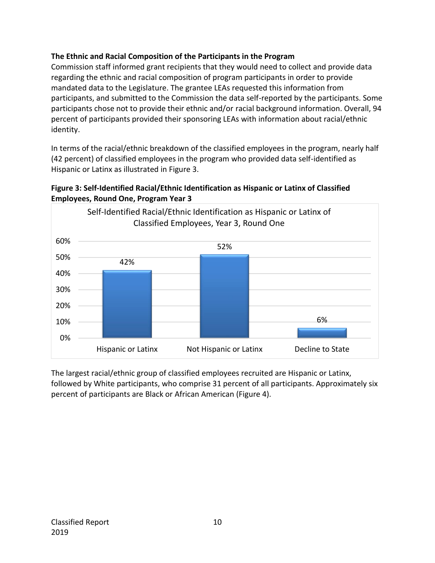# **The Ethnic and Racial Composition of the Participants in the Program**

Commission staff informed grant recipients that they would need to collect and provide data regarding the ethnic and racial composition of program participants in order to provide mandated data to the Legislature. The grantee LEAs requested this information from participants, and submitted to the Commission the data self-reported by the participants. Some participants chose not to provide their ethnic and/or racial background information. Overall, 94 percent of participants provided their sponsoring LEAs with information about racial/ethnic identity.

In terms of the racial/ethnic breakdown of the classified employees in the program, nearly half (42 percent) of classified employees in the program who provided data self-identified as Hispanic or Latinx as illustrated in Figure 3.





The largest racial/ethnic group of classified employees recruited are Hispanic or Latinx, followed by White participants, who comprise 31 percent of all participants. Approximately six percent of participants are Black or African American (Figure 4).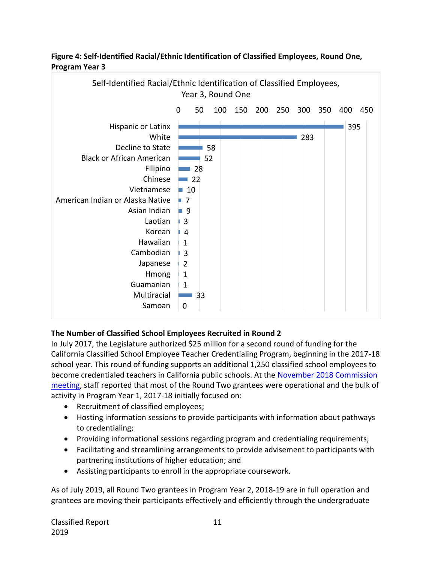

#### **Figure 4: Self-Identified Racial/Ethnic Identification of Classified Employees, Round One, Program Year 3**

# **The Number of Classified School Employees Recruited in Round 2**

In July 2017, the Legislature authorized \$25 million for a second round of funding for the California Classified School Employee Teacher Credentialing Program, beginning in the 2017-18 school year. This round of funding supports an additional 1,250 classified school employees to become credentialed teachers in California public schools. At the [November 2018 Commission](https://www.ctc.ca.gov/docs/default-source/commission/agendas/2018-11/2018-11-3b.pdf?sfvrsn=6)  [meeting,](https://www.ctc.ca.gov/docs/default-source/commission/agendas/2018-11/2018-11-3b.pdf?sfvrsn=6) staff reported that most of the Round Two grantees were operational and the bulk of activity in Program Year 1, 2017-18 initially focused on:

- Recruitment of classified employees;
- Hosting information sessions to provide participants with information about pathways to credentialing;
- Providing informational sessions regarding program and credentialing requirements;
- Facilitating and streamlining arrangements to provide advisement to participants with partnering institutions of higher education; and
- Assisting participants to enroll in the appropriate coursework.

As of July 2019, all Round Two grantees in Program Year 2, 2018-19 are in full operation and grantees are moving their participants effectively and efficiently through the undergraduate

Classified Report 11 2019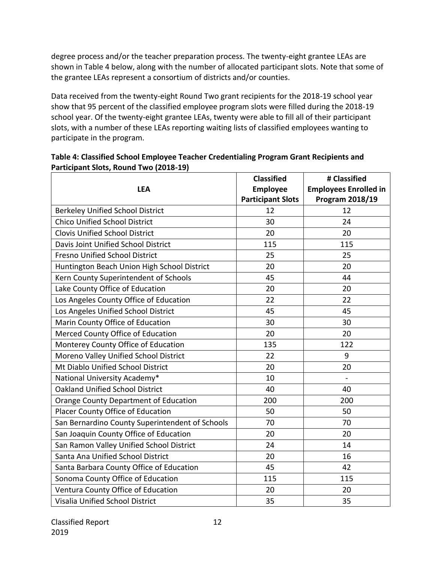degree process and/or the teacher preparation process. The twenty-eight grantee LEAs are shown in Table 4 below, along with the number of allocated participant slots. Note that some of the grantee LEAs represent a consortium of districts and/or counties.

Data received from the twenty-eight Round Two grant recipients for the 2018-19 school year show that 95 percent of the classified employee program slots were filled during the 2018-19 school year. Of the twenty-eight grantee LEAs, twenty were able to fill all of their participant slots, with a number of these LEAs reporting waiting lists of classified employees wanting to participate in the program.

| <b>LEA</b>                                      | <b>Classified</b><br><b>Employee</b> | # Classified<br><b>Employees Enrolled in</b> |  |
|-------------------------------------------------|--------------------------------------|----------------------------------------------|--|
|                                                 | <b>Participant Slots</b>             | Program 2018/19                              |  |
| <b>Berkeley Unified School District</b>         | 12                                   | 12                                           |  |
| <b>Chico Unified School District</b>            | 30                                   | 24                                           |  |
| <b>Clovis Unified School District</b>           | 20                                   | 20                                           |  |
| Davis Joint Unified School District             | 115                                  | 115                                          |  |
| Fresno Unified School District                  | 25                                   | 25                                           |  |
| Huntington Beach Union High School District     | 20                                   | 20                                           |  |
| Kern County Superintendent of Schools           | 45                                   | 44                                           |  |
| Lake County Office of Education                 | 20                                   | 20                                           |  |
| Los Angeles County Office of Education          | 22                                   | 22                                           |  |
| Los Angeles Unified School District             | 45                                   | 45                                           |  |
| Marin County Office of Education                | 30                                   | 30                                           |  |
| Merced County Office of Education               | 20                                   | 20                                           |  |
| Monterey County Office of Education             | 135                                  | 122                                          |  |
| Moreno Valley Unified School District           | 22                                   | 9                                            |  |
| Mt Diablo Unified School District               | 20                                   | 20                                           |  |
| National University Academy*                    | 10                                   | $\frac{1}{2}$                                |  |
| <b>Oakland Unified School District</b>          | 40                                   | 40                                           |  |
| Orange County Department of Education           | 200                                  | 200                                          |  |
| Placer County Office of Education               | 50                                   | 50                                           |  |
| San Bernardino County Superintendent of Schools | 70                                   | 70                                           |  |
| San Joaquin County Office of Education          | 20                                   | 20                                           |  |
| San Ramon Valley Unified School District        | 24                                   | 14                                           |  |
| Santa Ana Unified School District               | 20                                   | 16                                           |  |
| Santa Barbara County Office of Education        | 45                                   | 42                                           |  |
| Sonoma County Office of Education               | 115                                  | 115                                          |  |
| Ventura County Office of Education              | 20                                   | 20                                           |  |
| Visalia Unified School District                 | 35                                   | 35                                           |  |

# **Table 4: Classified School Employee Teacher Credentialing Program Grant Recipients and Participant Slots, Round Two (2018-19)**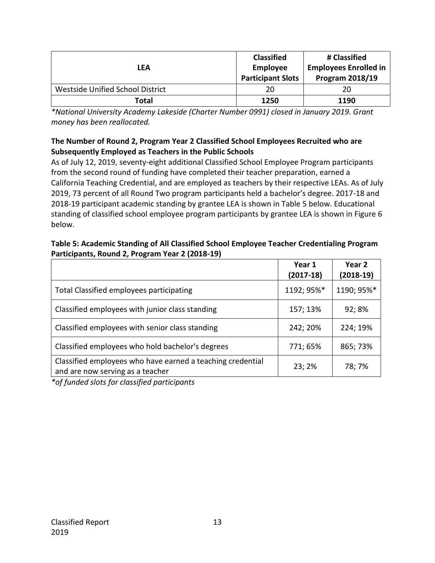| LEA                              | <b>Classified</b><br>Employee<br><b>Participant Slots</b> | # Classified<br><b>Employees Enrolled in</b><br><b>Program 2018/19</b> |
|----------------------------------|-----------------------------------------------------------|------------------------------------------------------------------------|
| Westside Unified School District | 20                                                        | 20                                                                     |
| Total                            | 1250                                                      | 1190                                                                   |

*\*National University Academy Lakeside (Charter Number 0991) closed in January 2019. Grant money has been reallocated.*

#### **The Number of Round 2, Program Year 2 Classified School Employees Recruited who are Subsequently Employed as Teachers in the Public Schools**

As of July 12, 2019, seventy-eight additional Classified School Employee Program participants from the second round of funding have completed their teacher preparation, earned a California Teaching Credential, and are employed as teachers by their respective LEAs. As of July 2019, 73 percent of all Round Two program participants held a bachelor's degree. 2017-18 and 2018-19 participant academic standing by grantee LEA is shown in Table 5 below. Educational standing of classified school employee program participants by grantee LEA is shown in Figure 6 below.

#### **Table 5: Academic Standing of All Classified School Employee Teacher Credentialing Program Participants, Round 2, Program Year 2 (2018-19)**

|                                                                                                | Year 1<br>$(2017-18)$ | Year 2<br>(2018-19) |
|------------------------------------------------------------------------------------------------|-----------------------|---------------------|
| Total Classified employees participating                                                       | 1192; 95%*            | 1190; 95%*          |
| Classified employees with junior class standing                                                | 157; 13%              | 92; 8%              |
| Classified employees with senior class standing                                                | 242; 20%              | 224; 19%            |
| Classified employees who hold bachelor's degrees                                               | 771; 65%              | 865; 73%            |
| Classified employees who have earned a teaching credential<br>and are now serving as a teacher | 23;2%                 | 78; 7%              |

*\*of funded slots for classified participants*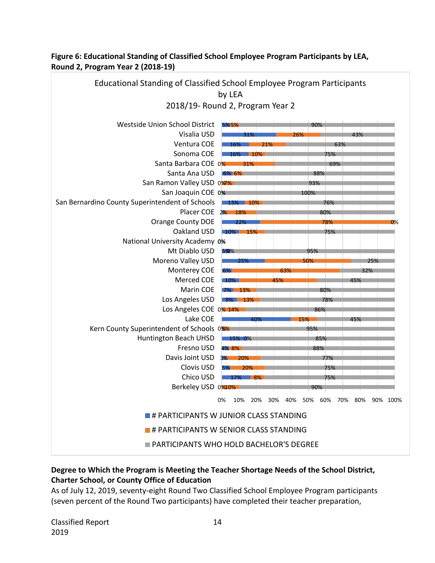

#### **Figure 6: Educational Standing of Classified School Employee Program Participants by LEA, Round 2, Program Year 2 (2018-19)**

# **Degree to Which the Program is Meeting the Teacher Shortage Needs of the School District, Charter School, or County Office of Education**

As of July 12, 2019, seventy-eight Round Two Classified School Employee Program participants (seven percent of the Round Two participants) have completed their teacher preparation,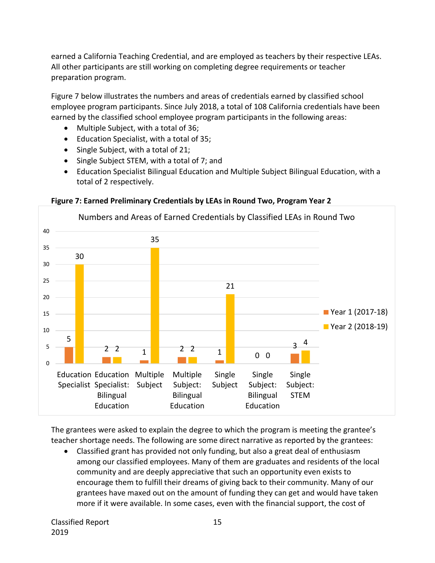earned a California Teaching Credential, and are employed as teachers by their respective LEAs. All other participants are still working on completing degree requirements or teacher preparation program.

Figure 7 below illustrates the numbers and areas of credentials earned by classified school employee program participants. Since July 2018, a total of 108 California credentials have been earned by the classified school employee program participants in the following areas:

- Multiple Subject, with a total of 36;
- Education Specialist, with a total of 35;
- Single Subject, with a total of 21;
- Single Subject STEM, with a total of 7; and
- Education Specialist Bilingual Education and Multiple Subject Bilingual Education, with a total of 2 respectively.



#### **Figure 7: Earned Preliminary Credentials by LEAs in Round Two, Program Year 2**

The grantees were asked to explain the degree to which the program is meeting the grantee's teacher shortage needs. The following are some direct narrative as reported by the grantees:

• Classified grant has provided not only funding, but also a great deal of enthusiasm among our classified employees. Many of them are graduates and residents of the local community and are deeply appreciative that such an opportunity even exists to encourage them to fulfill their dreams of giving back to their community. Many of our grantees have maxed out on the amount of funding they can get and would have taken more if it were available. In some cases, even with the financial support, the cost of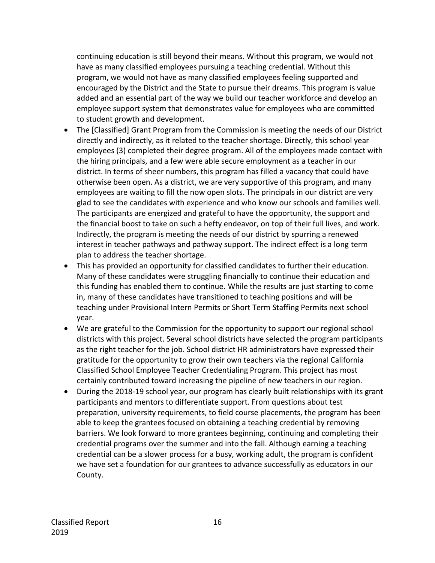continuing education is still beyond their means. Without this program, we would not have as many classified employees pursuing a teaching credential. Without this program, we would not have as many classified employees feeling supported and encouraged by the District and the State to pursue their dreams. This program is value added and an essential part of the way we build our teacher workforce and develop an employee support system that demonstrates value for employees who are committed to student growth and development.

- The [Classified] Grant Program from the Commission is meeting the needs of our District directly and indirectly, as it related to the teacher shortage. Directly, this school year employees (3) completed their degree program. All of the employees made contact with the hiring principals, and a few were able secure employment as a teacher in our district. In terms of sheer numbers, this program has filled a vacancy that could have otherwise been open. As a district, we are very supportive of this program, and many employees are waiting to fill the now open slots. The principals in our district are very glad to see the candidates with experience and who know our schools and families well. The participants are energized and grateful to have the opportunity, the support and the financial boost to take on such a hefty endeavor, on top of their full lives, and work. Indirectly, the program is meeting the needs of our district by spurring a renewed interest in teacher pathways and pathway support. The indirect effect is a long term plan to address the teacher shortage.
- This has provided an opportunity for classified candidates to further their education. Many of these candidates were struggling financially to continue their education and this funding has enabled them to continue. While the results are just starting to come in, many of these candidates have transitioned to teaching positions and will be teaching under Provisional Intern Permits or Short Term Staffing Permits next school year.
- We are grateful to the Commission for the opportunity to support our regional school districts with this project. Several school districts have selected the program participants as the right teacher for the job. School district HR administrators have expressed their gratitude for the opportunity to grow their own teachers via the regional California Classified School Employee Teacher Credentialing Program. This project has most certainly contributed toward increasing the pipeline of new teachers in our region.
- During the 2018-19 school year, our program has clearly built relationships with its grant participants and mentors to differentiate support. From questions about test preparation, university requirements, to field course placements, the program has been able to keep the grantees focused on obtaining a teaching credential by removing barriers. We look forward to more grantees beginning, continuing and completing their credential programs over the summer and into the fall. Although earning a teaching credential can be a slower process for a busy, working adult, the program is confident we have set a foundation for our grantees to advance successfully as educators in our County.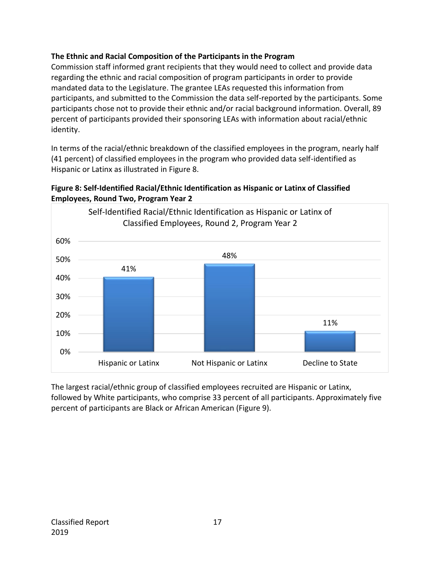# **The Ethnic and Racial Composition of the Participants in the Program**

Commission staff informed grant recipients that they would need to collect and provide data regarding the ethnic and racial composition of program participants in order to provide mandated data to the Legislature. The grantee LEAs requested this information from participants, and submitted to the Commission the data self-reported by the participants. Some participants chose not to provide their ethnic and/or racial background information. Overall, 89 percent of participants provided their sponsoring LEAs with information about racial/ethnic identity.

In terms of the racial/ethnic breakdown of the classified employees in the program, nearly half (41 percent) of classified employees in the program who provided data self-identified as Hispanic or Latinx as illustrated in Figure 8.





The largest racial/ethnic group of classified employees recruited are Hispanic or Latinx, followed by White participants, who comprise 33 percent of all participants. Approximately five percent of participants are Black or African American (Figure 9).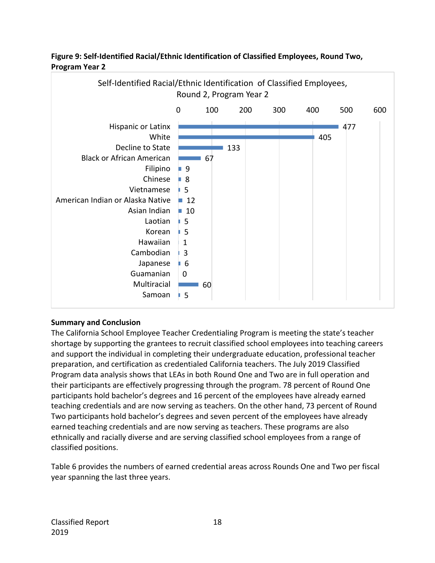

#### **Figure 9: Self-Identified Racial/Ethnic Identification of Classified Employees, Round Two, Program Year 2**

# **Summary and Conclusion**

The California School Employee Teacher Credentialing Program is meeting the state's teacher shortage by supporting the grantees to recruit classified school employees into teaching careers and support the individual in completing their undergraduate education, professional teacher preparation, and certification as credentialed California teachers. The July 2019 Classified Program data analysis shows that LEAs in both Round One and Two are in full operation and their participants are effectively progressing through the program. 78 percent of Round One participants hold bachelor's degrees and 16 percent of the employees have already earned teaching credentials and are now serving as teachers. On the other hand, 73 percent of Round Two participants hold bachelor's degrees and seven percent of the employees have already earned teaching credentials and are now serving as teachers. These programs are also ethnically and racially diverse and are serving classified school employees from a range of classified positions.

Table 6 provides the numbers of earned credential areas across Rounds One and Two per fiscal year spanning the last three years.